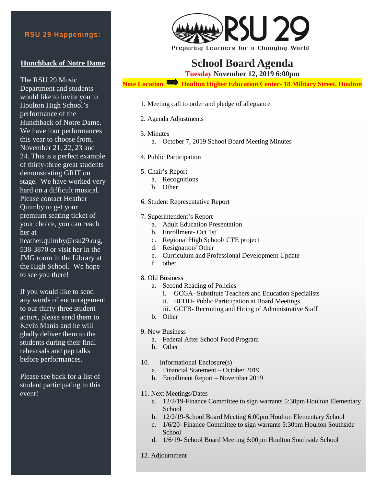## **Hunchback of Notre Dame**

The RSU 29 Music Department and students would like to invite you to Houlton High School's performance of the Hunchback of Notre Dame. We have four performances this year to choose from, November 21, 22, 23 and 24. This is a perfect example of thirty-three great students demonstrating GRIT on stage. We have worked very hard on a difficult musical. Please contact Heather Quimby to get your premium seating ticket of your choice, you can reach her at

heather.quimby@rsu29.org, 538-3870 or visit her in the JMG room in the Library at the High School. We hope to see you there!

If you would like to send any words of encouragement to our thirty-three student actors, please send them to Kevin Mania and he will gladly deliver them to the students during their final rehearsals and pep talks before performances.

Please see back for a list of student participating in this event!



Preparing Learners for a Changing World

## **School Board Agenda**

**Tuesday November 12, 2019 6:00pm**

**Note Location <b>H**oulton Higher Education Center-18 Military Street, Houlton

- 1. Meeting call to order and pledge of allegiance
- 2. Agenda Adjustments
- 3. Minutes
	- a. October 7, 2019 School Board Meeting Minutes
- 4. Public Participation
- 5. Chair's Report
	- a. Recognitions
	- b. Other
- 6. Student Representative Report
- 7. Superintendent's Report
	- a. Adult Education Presentation
	- b. Enrollment- Oct 1st
	- c. Regional High School/ CTE project
	- d. Resignation/ Other
	- e. Curriculum and Professional Development Update
	- f. other
- 8. Old Business
	- a. Second Reading of Policies
		- i. GCGA- Substitute Teachers and Education Specialists
		- ii. BEDH- Public Participation at Board Meetings
		- iii. GCFB- Recruiting and Hiring of Administrative Staff
	- b. Other
- 9. New Business
	- a. Federal After School Food Program
	- b. Other
- 10. Informational Enclosure(s)
	- a. Financial Statement October 2019
	- b. Enrollment Report November 2019
- 11. Next Meetings/Dates
	- a. 12/2/19-Finance Committee to sign warrants 5:30pm Houlton Elementary School
	- b. 12/2/19-School Board Meeting 6:00pm Houlton Elementary School
	- c. 1/6/20- Finance Committee to sign warrants 5:30pm Houlton Southside School
	- d. 1/6/19- School Board Meeting 6:00pm Houlton Southside School
- 12. Adjournment